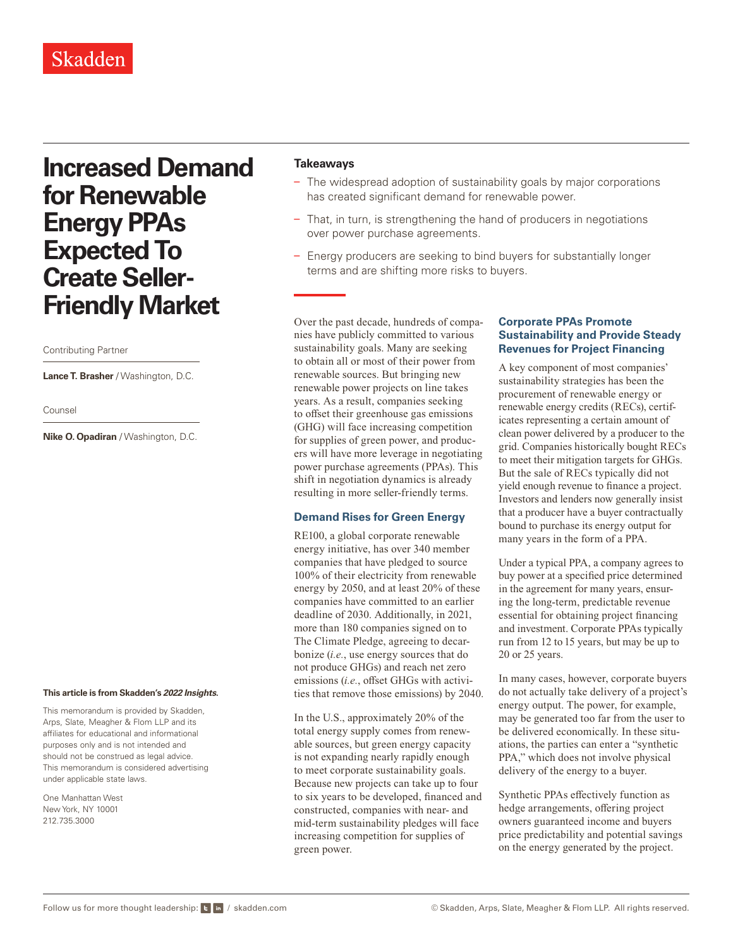# **Increased Demand for Renewable Energy PPAs Expected To Create Seller-Friendly Market**

#### Contributing Partner

**Lance T. Brasher** / Washington, D.C.

Counsel

**Nike O. Opadiran** / Washington, D.C.

#### **This article is from Skadden's** *[2022 Insights](https://www.skadden.com/insights/publications/2022/01/2022-insights/2022-insights)***.**

This memorandum is provided by Skadden, Arps, Slate, Meagher & Flom LLP and its affiliates for educational and informational purposes only and is not intended and should not be construed as legal advice. This memorandum is considered advertising under applicable state laws.

One Manhattan West New York, NY 10001 212.735.3000

## **Takeaways**

- The widespread adoption of sustainability goals by major corporations has created significant demand for renewable power.
- That, in turn, is strengthening the hand of producers in negotiations over power purchase agreements.
- Energy producers are seeking to bind buyers for substantially longer terms and are shifting more risks to buyers.

Over the past decade, hundreds of companies have publicly committed to various sustainability goals. Many are seeking to obtain all or most of their power from renewable sources. But bringing new renewable power projects on line takes years. As a result, companies seeking to offset their greenhouse gas emissions (GHG) will face increasing competition for supplies of green power, and producers will have more leverage in negotiating power purchase agreements (PPAs). This shift in negotiation dynamics is already resulting in more seller-friendly terms.

## **Demand Rises for Green Energy**

RE100, a global corporate renewable energy initiative, has over 340 member companies that have pledged to source 100% of their electricity from renewable energy by 2050, and at least 20% of these companies have committed to an earlier deadline of 2030. Additionally, in 2021, more than 180 companies signed on to The Climate Pledge, agreeing to decarbonize (*i.e.*, use energy sources that do not produce GHGs) and reach net zero emissions (*i.e.*, offset GHGs with activities that remove those emissions) by 2040.

In the U.S., approximately 20% of the total energy supply comes from renewable sources, but green energy capacity is not expanding nearly rapidly enough to meet corporate sustainability goals. Because new projects can take up to four to six years to be developed, financed and constructed, companies with near- and mid-term sustainability pledges will face increasing competition for supplies of green power.

## **Corporate PPAs Promote Sustainability and Provide Steady Revenues for Project Financing**

A key component of most companies' sustainability strategies has been the procurement of renewable energy or renewable energy credits (RECs), certificates representing a certain amount of clean power delivered by a producer to the grid. Companies historically bought RECs to meet their mitigation targets for GHGs. But the sale of RECs typically did not yield enough revenue to finance a project. Investors and lenders now generally insist that a producer have a buyer contractually bound to purchase its energy output for many years in the form of a PPA.

Under a typical PPA, a company agrees to buy power at a specified price determined in the agreement for many years, ensuring the long-term, predictable revenue essential for obtaining project financing and investment. Corporate PPAs typically run from 12 to 15 years, but may be up to 20 or 25 years.

In many cases, however, corporate buyers do not actually take delivery of a project's energy output. The power, for example, may be generated too far from the user to be delivered economically. In these situations, the parties can enter a "synthetic PPA," which does not involve physical delivery of the energy to a buyer.

Synthetic PPAs effectively function as hedge arrangements, offering project owners guaranteed income and buyers price predictability and potential savings on the energy generated by the project.